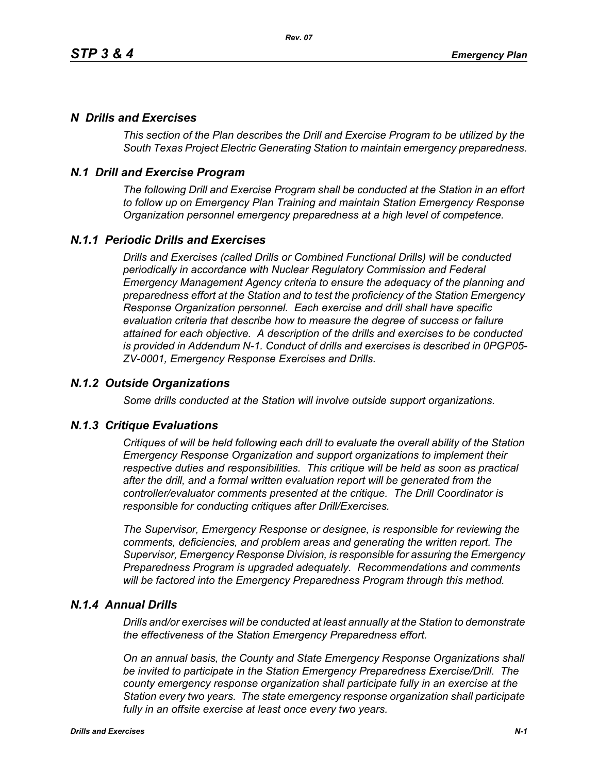# *N Drills and Exercises*

*This section of the Plan describes the Drill and Exercise Program to be utilized by the South Texas Project Electric Generating Station to maintain emergency preparedness.*

# *N.1 Drill and Exercise Program*

*The following Drill and Exercise Program shall be conducted at the Station in an effort to follow up on Emergency Plan Training and maintain Station Emergency Response Organization personnel emergency preparedness at a high level of competence.*

# *N.1.1 Periodic Drills and Exercises*

*Drills and Exercises (called Drills or Combined Functional Drills) will be conducted periodically in accordance with Nuclear Regulatory Commission and Federal Emergency Management Agency criteria to ensure the adequacy of the planning and preparedness effort at the Station and to test the proficiency of the Station Emergency Response Organization personnel. Each exercise and drill shall have specific evaluation criteria that describe how to measure the degree of success or failure attained for each objective. A description of the drills and exercises to be conducted is provided in Addendum N-1. Conduct of drills and exercises is described in 0PGP05- ZV-0001, Emergency Response Exercises and Drills.*

## *N.1.2 Outside Organizations*

*Some drills conducted at the Station will involve outside support organizations.* 

### *N.1.3 Critique Evaluations*

*Critiques of will be held following each drill to evaluate the overall ability of the Station Emergency Response Organization and support organizations to implement their respective duties and responsibilities. This critique will be held as soon as practical after the drill, and a formal written evaluation report will be generated from the controller/evaluator comments presented at the critique. The Drill Coordinator is responsible for conducting critiques after Drill/Exercises.* 

*The Supervisor, Emergency Response or designee, is responsible for reviewing the comments, deficiencies, and problem areas and generating the written report. The Supervisor, Emergency Response Division, is responsible for assuring the Emergency Preparedness Program is upgraded adequately. Recommendations and comments will be factored into the Emergency Preparedness Program through this method.* 

### *N.1.4 Annual Drills*

*Drills and/or exercises will be conducted at least annually at the Station to demonstrate the effectiveness of the Station Emergency Preparedness effort.* 

*On an annual basis, the County and State Emergency Response Organizations shall be invited to participate in the Station Emergency Preparedness Exercise/Drill. The county emergency response organization shall participate fully in an exercise at the Station every two years. The state emergency response organization shall participate fully in an offsite exercise at least once every two years.*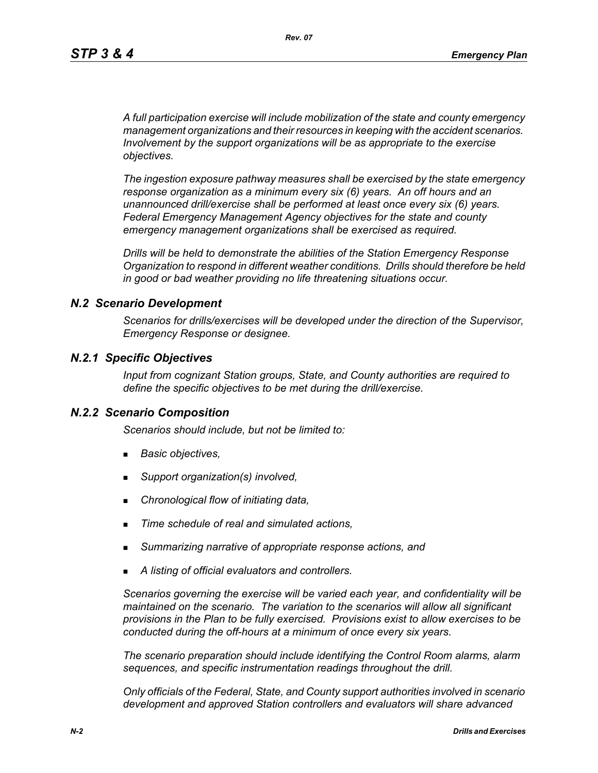*A full participation exercise will include mobilization of the state and county emergency management organizations and their resources in keeping with the accident scenarios. Involvement by the support organizations will be as appropriate to the exercise objectives.* 

*The ingestion exposure pathway measures shall be exercised by the state emergency response organization as a minimum every six (6) years. An off hours and an unannounced drill/exercise shall be performed at least once every six (6) years. Federal Emergency Management Agency objectives for the state and county emergency management organizations shall be exercised as required.*

*Drills will be held to demonstrate the abilities of the Station Emergency Response Organization to respond in different weather conditions. Drills should therefore be held in good or bad weather providing no life threatening situations occur.*

### *N.2 Scenario Development*

*Scenarios for drills/exercises will be developed under the direction of the Supervisor, Emergency Response or designee.* 

### *N.2.1 Specific Objectives*

*Input from cognizant Station groups, State, and County authorities are required to define the specific objectives to be met during the drill/exercise.*

#### *N.2.2 Scenario Composition*

*Scenarios should include, but not be limited to:*

- *Basic objectives,*
- *Support organization(s) involved,*
- *Chronological flow of initiating data,*
- *Time schedule of real and simulated actions,*
- *Summarizing narrative of appropriate response actions, and*
- *A listing of official evaluators and controllers.*

*Scenarios governing the exercise will be varied each year, and confidentiality will be maintained on the scenario. The variation to the scenarios will allow all significant provisions in the Plan to be fully exercised. Provisions exist to allow exercises to be conducted during the off-hours at a minimum of once every six years.*

*The scenario preparation should include identifying the Control Room alarms, alarm sequences, and specific instrumentation readings throughout the drill.*

*Only officials of the Federal, State, and County support authorities involved in scenario development and approved Station controllers and evaluators will share advanced*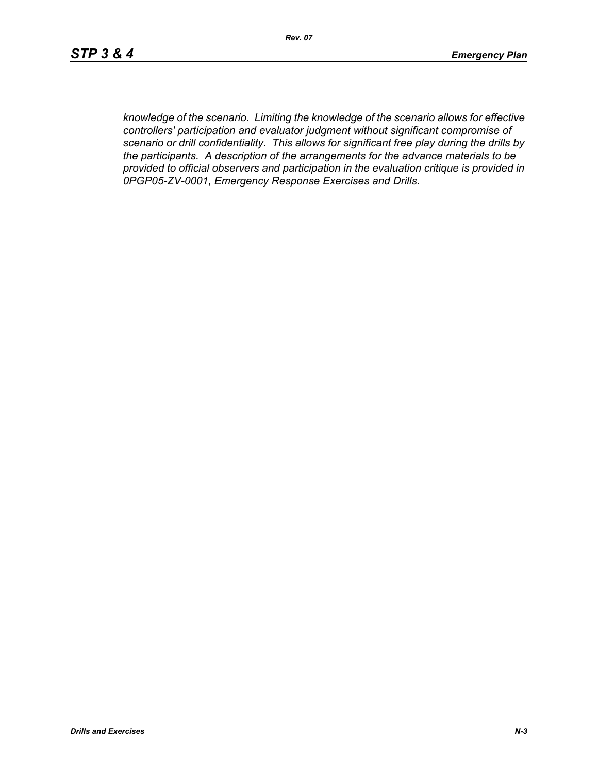*knowledge of the scenario. Limiting the knowledge of the scenario allows for effective controllers' participation and evaluator judgment without significant compromise of scenario or drill confidentiality. This allows for significant free play during the drills by the participants. A description of the arrangements for the advance materials to be provided to official observers and participation in the evaluation critique is provided in 0PGP05-ZV-0001, Emergency Response Exercises and Drills.*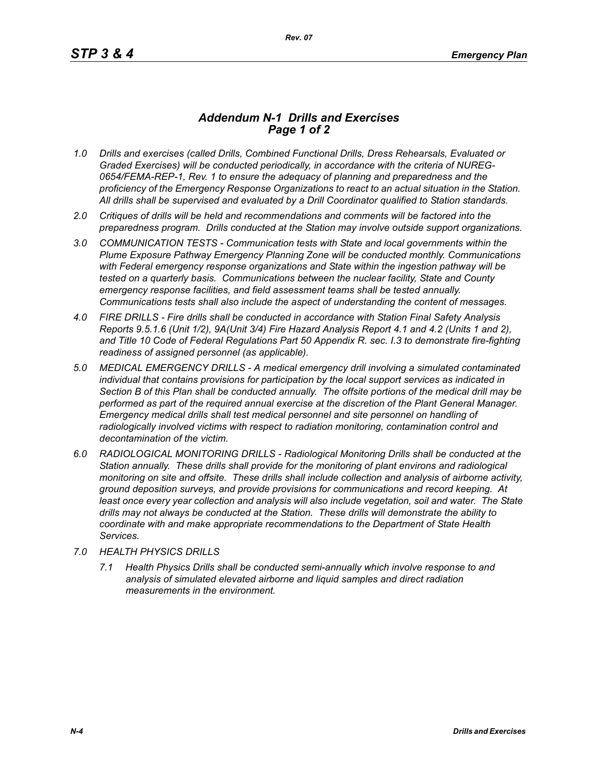## *Addendum N-1 Drills and Exercises Page 1 of 2*

- *1.0 Drills and exercises (called Drills, Combined Functional Drills, Dress Rehearsals, Evaluated or Graded Exercises) will be conducted periodically, in accordance with the criteria of NUREG-0654/FEMA-REP-1, Rev. 1 to ensure the adequacy of planning and preparedness and the proficiency of the Emergency Response Organizations to react to an actual situation in the Station. All drills shall be supervised and evaluated by a Drill Coordinator qualified to Station standards.*
- *2.0 Critiques of drills will be held and recommendations and comments will be factored into the preparedness program. Drills conducted at the Station may involve outside support organizations.*
- *3.0 COMMUNICATION TESTS Communication tests with State and local governments within the Plume Exposure Pathway Emergency Planning Zone will be conducted monthly. Communications with Federal emergency response organizations and State within the ingestion pathway will be tested on a quarterly basis. Communications between the nuclear facility, State and County emergency response facilities, and field assessment teams shall be tested annually. Communications tests shall also include the aspect of understanding the content of messages.*
- *4.0 FIRE DRILLS Fire drills shall be conducted in accordance with Station Final Safety Analysis Reports 9.5.1.6 (Unit 1/2), 9A(Unit 3/4) Fire Hazard Analysis Report 4.1 and 4.2 (Units 1 and 2), and Title 10 Code of Federal Regulations Part 50 Appendix R. sec. I.3 to demonstrate fire-fighting readiness of assigned personnel (as applicable).*
- *5.0 MEDICAL EMERGENCY DRILLS A medical emergency drill involving a simulated contaminated individual that contains provisions for participation by the local support services as indicated in Section B of this Plan shall be conducted annually. The offsite portions of the medical drill may be performed as part of the required annual exercise at the discretion of the Plant General Manager. Emergency medical drills shall test medical personnel and site personnel on handling of*  radiologically involved victims with respect to radiation monitoring, contamination control and *decontamination of the victim.*
- *6.0 RADIOLOGICAL MONITORING DRILLS Radiological Monitoring Drills shall be conducted at the Station annually. These drills shall provide for the monitoring of plant environs and radiological monitoring on site and offsite. These drills shall include collection and analysis of airborne activity, ground deposition surveys, and provide provisions for communications and record keeping. At*  least once every year collection and analysis will also include vegetation, soil and water. The State *drills may not always be conducted at the Station. These drills will demonstrate the ability to coordinate with and make appropriate recommendations to the Department of State Health Services.*
- *7.0 HEALTH PHYSICS DRILLS*
	- *7.1 Health Physics Drills shall be conducted semi-annually which involve response to and analysis of simulated elevated airborne and liquid samples and direct radiation measurements in the environment.*